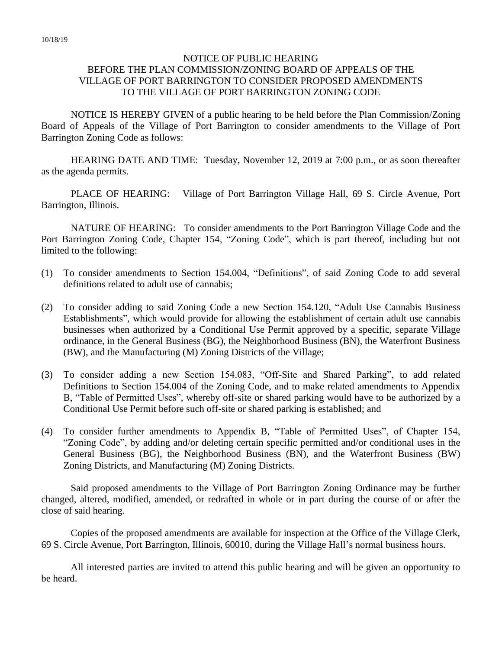## NOTICE OF PUBLIC HEARING BEFORE THE PLAN COMMISSION/ZONING BOARD OF APPEALS OF THE VILLAGE OF PORT BARRINGTON TO CONSIDER PROPOSED AMENDMENTS TO THE VILLAGE OF PORT BARRINGTON ZONING CODE

NOTICE IS HEREBY GIVEN of a public hearing to be held before the Plan Commission/Zoning Board of Appeals of the Village of Port Barrington to consider amendments to the Village of Port Barrington Zoning Code as follows:

HEARING DATE AND TIME: Tuesday, November 12, 2019 at 7:00 p.m., or as soon thereafter as the agenda permits.

PLACE OF HEARING: Village of Port Barrington Village Hall, 69 S. Circle Avenue, Port Barrington, Illinois.

NATURE OF HEARING: To consider amendments to the Port Barrington Village Code and the Port Barrington Zoning Code, Chapter 154, "Zoning Code", which is part thereof, including but not limited to the following:

- (1) To consider amendments to Section 154.004, "Definitions", of said Zoning Code to add several definitions related to adult use of cannabis;
- (2) To consider adding to said Zoning Code a new Section 154.120, "Adult Use Cannabis Business Establishments", which would provide for allowing the establishment of certain adult use cannabis businesses when authorized by a Conditional Use Permit approved by a specific, separate Village ordinance, in the General Business (BG), the Neighborhood Business (BN), the Waterfront Business (BW), and the Manufacturing (M) Zoning Districts of the Village;
- (3) To consider adding a new Section 154.083, "Off-Site and Shared Parking", to add related Definitions to Section 154.004 of the Zoning Code, and to make related amendments to Appendix B, "Table of Permitted Uses", whereby off-site or shared parking would have to be authorized by a Conditional Use Permit before such off-site or shared parking is established; and
- (4) To consider further amendments to Appendix B, "Table of Permitted Uses", of Chapter 154, "Zoning Code", by adding and/or deleting certain specific permitted and/or conditional uses in the General Business (BG), the Neighborhood Business (BN), and the Waterfront Business (BW) Zoning Districts, and Manufacturing (M) Zoning Districts.

Said proposed amendments to the Village of Port Barrington Zoning Ordinance may be further changed, altered, modified, amended, or redrafted in whole or in part during the course of or after the close of said hearing.

Copies of the proposed amendments are available for inspection at the Office of the Village Clerk, 69 S. Circle Avenue, Port Barrington, Illinois, 60010, during the Village Hall's normal business hours.

All interested parties are invited to attend this public hearing and will be given an opportunity to be heard.